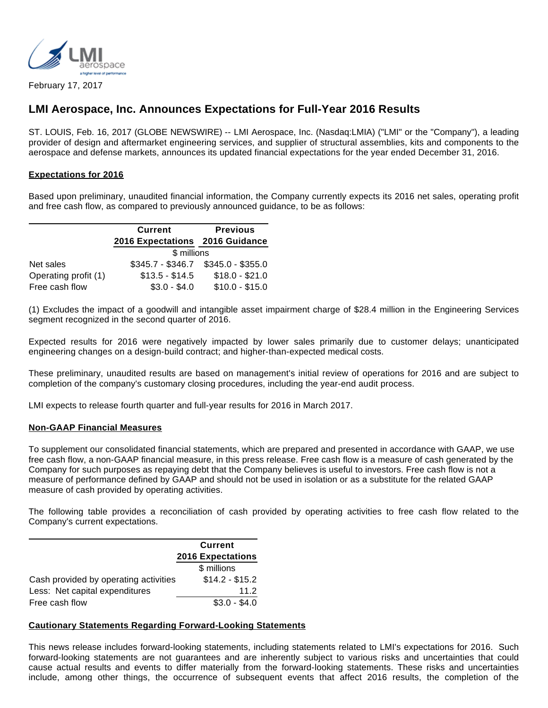

February 17, 2017

# **LMI Aerospace, Inc. Announces Expectations for Full-Year 2016 Results**

ST. LOUIS, Feb. 16, 2017 (GLOBE NEWSWIRE) -- LMI Aerospace, Inc. (Nasdaq:LMIA) ("LMI" or the "Company"), a leading provider of design and aftermarket engineering services, and supplier of structural assemblies, kits and components to the aerospace and defense markets, announces its updated financial expectations for the year ended December 31, 2016.

## **Expectations for 2016**

Based upon preliminary, unaudited financial information, the Company currently expects its 2016 net sales, operating profit and free cash flow, as compared to previously announced guidance, to be as follows:

|                      | <b>Current</b>                  | <b>Previous</b>                     |
|----------------------|---------------------------------|-------------------------------------|
|                      | 2016 Expectations 2016 Guidance |                                     |
|                      | \$ millions                     |                                     |
| Net sales            |                                 | $$345.7 - $346.7$ $$345.0 - $355.0$ |
| Operating profit (1) | $$13.5 - $14.5$                 | $$18.0 - $21.0$                     |
| Free cash flow       | $$3.0 - $4.0$                   | $$10.0 - $15.0$                     |

(1) Excludes the impact of a goodwill and intangible asset impairment charge of \$28.4 million in the Engineering Services segment recognized in the second quarter of 2016.

Expected results for 2016 were negatively impacted by lower sales primarily due to customer delays; unanticipated engineering changes on a design-build contract; and higher-than-expected medical costs.

These preliminary, unaudited results are based on management's initial review of operations for 2016 and are subject to completion of the company's customary closing procedures, including the year-end audit process.

LMI expects to release fourth quarter and full-year results for 2016 in March 2017.

### **Non-GAAP Financial Measures**

To supplement our consolidated financial statements, which are prepared and presented in accordance with GAAP, we use free cash flow, a non-GAAP financial measure, in this press release. Free cash flow is a measure of cash generated by the Company for such purposes as repaying debt that the Company believes is useful to investors. Free cash flow is not a measure of performance defined by GAAP and should not be used in isolation or as a substitute for the related GAAP measure of cash provided by operating activities.

The following table provides a reconciliation of cash provided by operating activities to free cash flow related to the Company's current expectations.

|                                       | <b>Current</b><br><b>2016 Expectations</b> |  |
|---------------------------------------|--------------------------------------------|--|
|                                       |                                            |  |
|                                       | \$ millions                                |  |
| Cash provided by operating activities | $$14.2 - $15.2$                            |  |
| Less: Net capital expenditures        | 11.2                                       |  |
| Free cash flow                        | $$3.0 - $4.0$                              |  |

### **Cautionary Statements Regarding Forward-Looking Statements**

This news release includes forward-looking statements, including statements related to LMI's expectations for 2016. Such forward-looking statements are not guarantees and are inherently subject to various risks and uncertainties that could cause actual results and events to differ materially from the forward-looking statements. These risks and uncertainties include, among other things, the occurrence of subsequent events that affect 2016 results, the completion of the